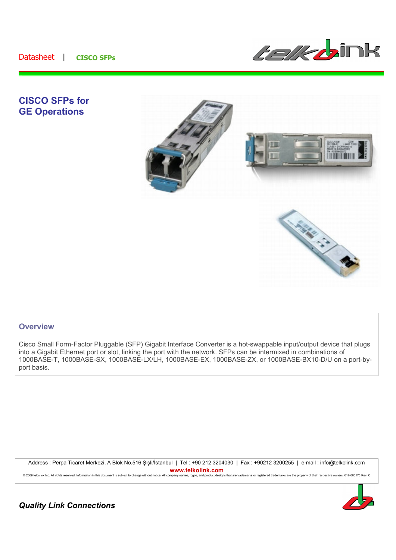

# **CISCO SFPs for GE Operations**



## **Overview**

Cisco Small Form-Factor Pluggable (SFP) Gigabit Interface Converter is a hot-swappable input/output device that plugs into a Gigabit Ethernet port or slot, linking the port with the network. SFPs can be intermixed in combinations of 1000BASE-T, 1000BASE-SX, 1000BASE-LX/LH, 1000BASE-EX, 1000BASE-ZX, or 1000BASE-BX10-D/U on a port-byport basis.

Address : Perpa Ticaret Merkezi, A Blok No.516 Sisli/İstanbul | Tel : +90 212 3204030 | Fax : +90212 3200255 | e-mail : info@telkolink.com **www.telkolink.com**<br>ompany names, logos, and product designs that are trademarks or registered trademarks are the property of their respective owners. 617-000175 Rev. C

© 2009 telcolink Inc. All rights reserved. Information in this document is subject to change without notice. All company



*Quality Link Connections*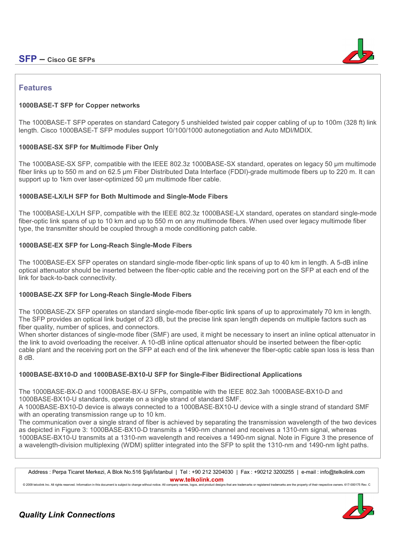# **SFP – Cisco GE SFPs**



## **Features**

### **1000BASE-T SFP for Copper networks**

The 1000BASE-T SFP operates on standard Category 5 unshielded twisted pair copper cabling of up to 100m (328 ft) link length. Cisco 1000BASE-T SFP modules support 10/100/1000 autonegotiation and Auto MDI/MDIX.

#### **1000BASE-SX SFP for Multimode Fiber Only**

The 1000BASE-SX SFP, compatible with the IEEE 802.3z 1000BASE-SX standard, operates on legacy 50 µm multimode fiber links up to 550 m and on 62.5 µm Fiber Distributed Data Interface (FDDI)-grade multimode fibers up to 220 m. It can support up to 1km over laser-optimized 50 µm multimode fiber cable.

#### **1000BASE-LX/LH SFP for Both Multimode and Single-Mode Fibers**

The 1000BASE-LX/LH SFP, compatible with the IEEE 802.3z 1000BASE-LX standard, operates on standard single-mode fiber-optic link spans of up to 10 km and up to 550 m on any multimode fibers. When used over legacy multimode fiber type, the transmitter should be coupled through a mode conditioning patch cable.

#### **1000BASE-EX SFP for Long-Reach Single-Mode Fibers**

The 1000BASE-EX SFP operates on standard single-mode fiber-optic link spans of up to 40 km in length. A 5-dB inline optical attenuator should be inserted between the fiber-optic cable and the receiving port on the SFP at each end of the link for back-to-back connectivity.

## **1000BASE-ZX SFP for Long-Reach Single-Mode Fibers**

The 1000BASE-ZX SFP operates on standard single-mode fiber-optic link spans of up to approximately 70 km in length. The SFP provides an optical link budget of 23 dB, but the precise link span length depends on multiple factors such as fiber quality, number of splices, and connectors.

When shorter distances of single-mode fiber (SMF) are used, it might be necessary to insert an inline optical attenuator in the link to avoid overloading the receiver. A 10-dB inline optical attenuator should be inserted between the fiber-optic cable plant and the receiving port on the SFP at each end of the link whenever the fiber-optic cable span loss is less than 8 dB.

## **1000BASE-BX10-D and 1000BASE-BX10-U SFP for Single-Fiber Bidirectional Applications**

The 1000BASE-BX-D and 1000BASE-BX-U SFPs, compatible with the IEEE 802.3ah 1000BASE-BX10-D and 1000BASE-BX10-U standards, operate on a single strand of standard SMF.

A 1000BASE-BX10-D device is always connected to a 1000BASE-BX10-U device with a single strand of standard SMF with an operating transmission range up to 10 km.

The communication over a single strand of fiber is achieved by separating the transmission wavelength of the two devices as depicted in Figure 3: 1000BASE-BX10-D transmits a 1490-nm channel and receives a 1310-nm signal, whereas 1000BASE-BX10-U transmits at a 1310-nm wavelength and receives a 1490-nm signal. Note in Figure 3 the presence of a wavelength-division multiplexing (WDM) splitter integrated into the SFP to split the 1310-nm and 1490-nm light paths.

Address : Perpa Ticaret Merkezi, A Blok No.516 Sisli/İstanbul | Tel : +90 212 3204030 | Fax : +90212 3200255 | e-mail : info@telkolink.com **www.telkolink.com**<br>nonpapy pames longs and product designs that are trademarks or registered trademarks are the property of their respective gyvenes 617-000175 Rev. C

© 2009 teleplink lac. All rights reserved. Information in this document is subject to change without notice. All company name

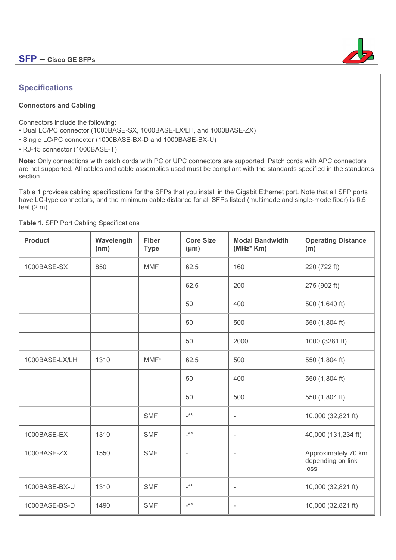

## **Specifications**

### **Connectors and Cabling**

Connectors include the following:

- Dual LC/PC connector (1000BASE-SX, 1000BASE-LX/LH, and 1000BASE-ZX)
- Single LC/PC connector (1000BASE-BX-D and 1000BASE-BX-U)

• RJ-45 connector (1000BASE-T)

**Note:** Only connections with patch cords with PC or UPC connectors are supported. Patch cords with APC connectors are not supported. All cables and cable assemblies used must be compliant with the standards specified in the standards section.

Table 1 provides cabling specifications for the SFPs that you install in the Gigabit Ethernet port. Note that all SFP ports have LC-type connectors, and the minimum cable distance for all SFPs listed (multimode and single-mode fiber) is 6.5 feet  $(2 \text{ m})$ .

| <b>Product</b> | Wavelength<br>(nm) | <b>Fiber</b><br><b>Type</b> | <b>Core Size</b><br>$(\mu m)$ | <b>Modal Bandwidth</b><br>$(MHz^*$ Km) | <b>Operating Distance</b><br>(m)                 |
|----------------|--------------------|-----------------------------|-------------------------------|----------------------------------------|--------------------------------------------------|
| 1000BASE-SX    | 850                | <b>MMF</b>                  | 62.5                          | 160                                    | 220 (722 ft)                                     |
|                |                    |                             | 62.5                          | 200                                    | 275 (902 ft)                                     |
|                |                    |                             | 50                            | 400                                    | 500 (1,640 ft)                                   |
|                |                    |                             | 50                            | 500                                    | 550 (1,804 ft)                                   |
|                |                    |                             | 50                            | 2000                                   | 1000 (3281 ft)                                   |
| 1000BASE-LX/LH | 1310               | $MMF^*$                     | 62.5                          | 500                                    | 550 (1,804 ft)                                   |
|                |                    |                             | 50                            | 400                                    | 550 (1,804 ft)                                   |
|                |                    |                             | 50                            | 500                                    | 550 (1,804 ft)                                   |
|                |                    | <b>SMF</b>                  | $-***$                        | ÷,                                     | 10,000 (32,821 ft)                               |
| 1000BASE-EX    | 1310               | <b>SMF</b>                  | $_{\star\star}$               | $\overline{\phantom{a}}$               | 40,000 (131,234 ft)                              |
| 1000BASE-ZX    | 1550               | <b>SMF</b>                  | $\overline{\phantom{a}}$      | $\overline{\phantom{a}}$               | Approximately 70 km<br>depending on link<br>loss |
| 1000BASE-BX-U  | 1310               | <b>SMF</b>                  | $**$                          | $\overline{\phantom{a}}$               | 10,000 (32,821 ft)                               |
| 1000BASE-BS-D  | 1490               | <b>SMF</b>                  | $_{+**}$                      | $\overline{\phantom{0}}$               | 10,000 (32,821 ft)                               |

**Table 1.** SFP Port Cabling Specifications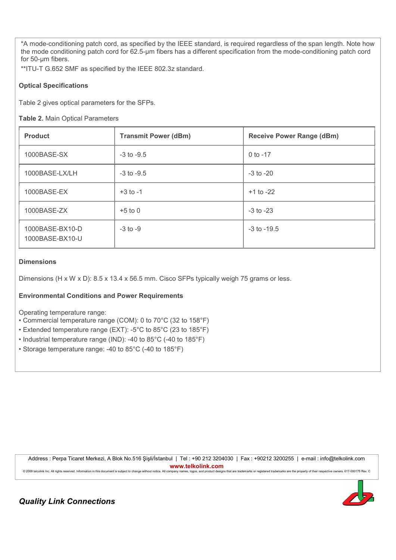\*A mode-conditioning patch cord, as specified by the IEEE standard, is required regardless of the span length. Note how the mode conditioning patch cord for 62.5-µm fibers has a different specification from the mode-conditioning patch cord for 50-µm fibers.

\*\*ITU-T G.652 SMF as specified by the IEEE 802.3z standard.

#### **Optical Specifications**

Table 2 gives optical parameters for the SFPs.

#### **Table 2.** Main Optical Parameters

| <b>Product</b>                     | <b>Transmit Power (dBm)</b> | <b>Receive Power Range (dBm)</b> |
|------------------------------------|-----------------------------|----------------------------------|
| 1000BASE-SX                        | $-3$ to $-9.5$              | $0$ to $-17$                     |
| 1000BASE-LX/LH                     | $-3$ to $-9.5$              | $-3$ to $-20$                    |
| 1000BASE-EX                        | $+3$ to $-1$                | $+1$ to $-22$                    |
| 1000BASE-ZX                        | $+5$ to 0                   | $-3$ to $-23$                    |
| 1000BASE-BX10-D<br>1000BASE-BX10-U | $-3$ to $-9$                | $-3$ to $-19.5$                  |

#### **Dimensions**

Dimensions (H x W x D): 8.5 x 13.4 x 56.5 mm. Cisco SFPs typically weigh 75 grams or less.

#### **Environmental Conditions and Power Requirements**

Operating temperature range:

- Commercial temperature range (COM): 0 to 70°C (32 to 158°F)
- Extended temperature range (EXT): -5°C to 85°C (23 to 185°F)
- Industrial temperature range (IND): -40 to 85°C (-40 to 185°F)
- Storage temperature range: -40 to 85°C (-40 to 185°F)

Address : Perpa Ticaret Merkezi, A Blok No.516 7işli/İstanbul | Tel : +90 212 3204030 | Fax : +90212 3200255 | e-mail : info@telkolink.com **www.telkolink.com** @ 2009 telcolink Inc. All rights reserved. Information in this document is subject to change without notice. All company names, logos, and product designs that are trademarks or registered trademarks are the property of th